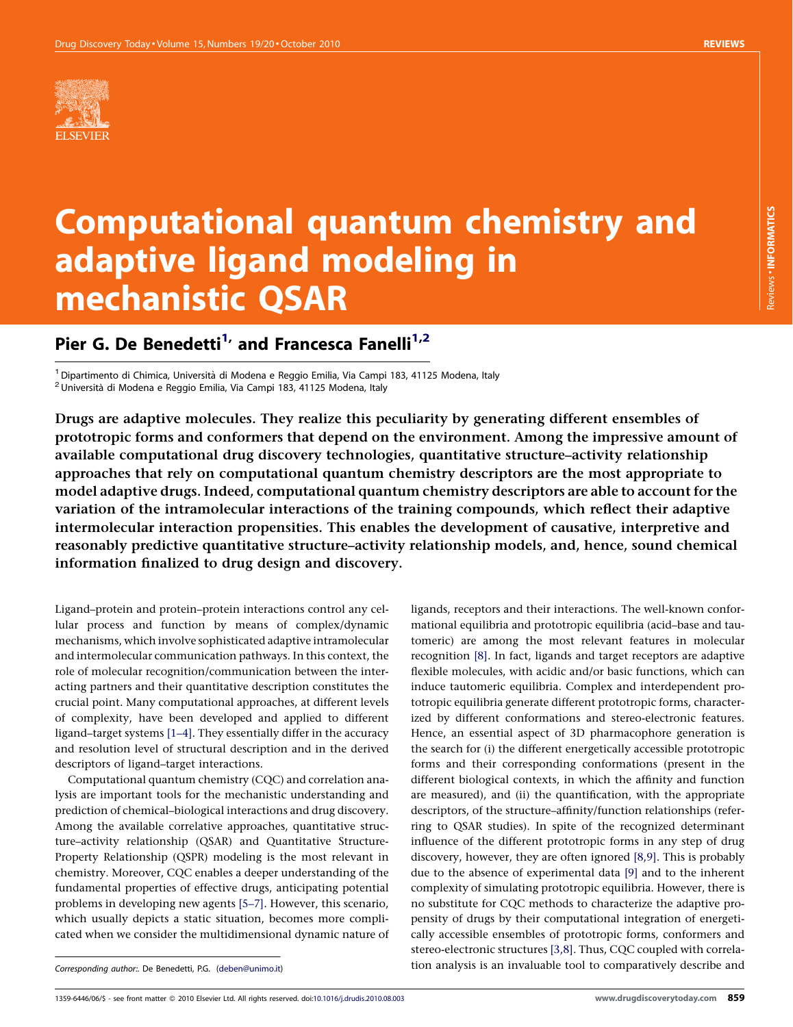

# Computational quantum chemistry and adaptive ligand modeling in mechanistic QSAR

# Pier G. De Benedetti<sup>1,</sup> and Francesca Fanelli<sup>1,2</sup>

<sup>1</sup> Dipartimento di Chimica, Università di Modena e Reggio Emilia, Via Campi 183, 41125 Modena, Italy <sup>2</sup>Università di Modena e Reggio Emilia, Via Campi 183, 41125 Modena, Italy

Drugs are adaptive molecules. They realize this peculiarity by generating different ensembles of prototropic forms and conformers that depend on the environment. Among the impressive amount of available computational drug discovery technologies, quantitative structure–activity relationship approaches that rely on computational quantum chemistry descriptors are the most appropriate to model adaptive drugs. Indeed, computational quantum chemistry descriptors are able to account for the variation of the intramolecular interactions of the training compounds, which reflect their adaptive intermolecular interaction propensities. This enables the development of causative, interpretive and reasonably predictive quantitative structure–activity relationship models, and, hence, sound chemical information finalized to drug design and discovery.

Ligand–protein and protein–protein interactions control any cellular process and function by means of complex/dynamic mechanisms, which involve sophisticated adaptive intramolecular and intermolecular communication pathways. In this context, the role of molecular recognition/communication between the interacting partners and their quantitative description constitutes the crucial point. Many computational approaches, at different levels of complexity, have been developed and applied to different ligand–target systems [\[1–4\].](#page-6-0) They essentially differ in the accuracy and resolution level of structural description and in the derived descriptors of ligand–target interactions.

Computational quantum chemistry (CQC) and correlation analysis are important tools for the mechanistic understanding and prediction of chemical–biological interactions and drug discovery. Among the available correlative approaches, quantitative structure–activity relationship (QSAR) and Quantitative Structure-Property Relationship (QSPR) modeling is the most relevant in chemistry. Moreover, CQC enables a deeper understanding of the fundamental properties of effective drugs, anticipating potential problems in developing new agents [\[5–7\].](#page-6-0) However, this scenario, which usually depicts a static situation, becomes more complicated when we consider the multidimensional dynamic nature of ligands, receptors and their interactions. The well-known conformational equilibria and prototropic equilibria (acid–base and tautomeric) are among the most relevant features in molecular recognition [\[8\].](#page-6-0) In fact, ligands and target receptors are adaptive flexible molecules, with acidic and/or basic functions, which can induce tautomeric equilibria. Complex and interdependent prototropic equilibria generate different prototropic forms, characterized by different conformations and stereo-electronic features. Hence, an essential aspect of 3D pharmacophore generation is the search for (i) the different energetically accessible prototropic forms and their corresponding conformations (present in the different biological contexts, in which the affinity and function are measured), and (ii) the quantification, with the appropriate descriptors, of the structure–affinity/function relationships (referring to QSAR studies). In spite of the recognized determinant influence of the different prototropic forms in any step of drug discovery, however, they are often ignored [\[8,9\]](#page-6-0). This is probably due to the absence of experimental data [\[9\]](#page-6-0) and to the inherent complexity of simulating prototropic equilibria. However, there is no substitute for CQC methods to characterize the adaptive propensity of drugs by their computational integration of energetically accessible ensembles of prototropic forms, conformers and stereo-electronic structures [\[3,8\].](#page-6-0) Thus, CQC coupled with correlation analysis is an invaluable tool to comparatively describe and

Corresponding author:. De Benedetti, P.G. [\(deben@unimo.it\)](mailto:deben@unimo.it)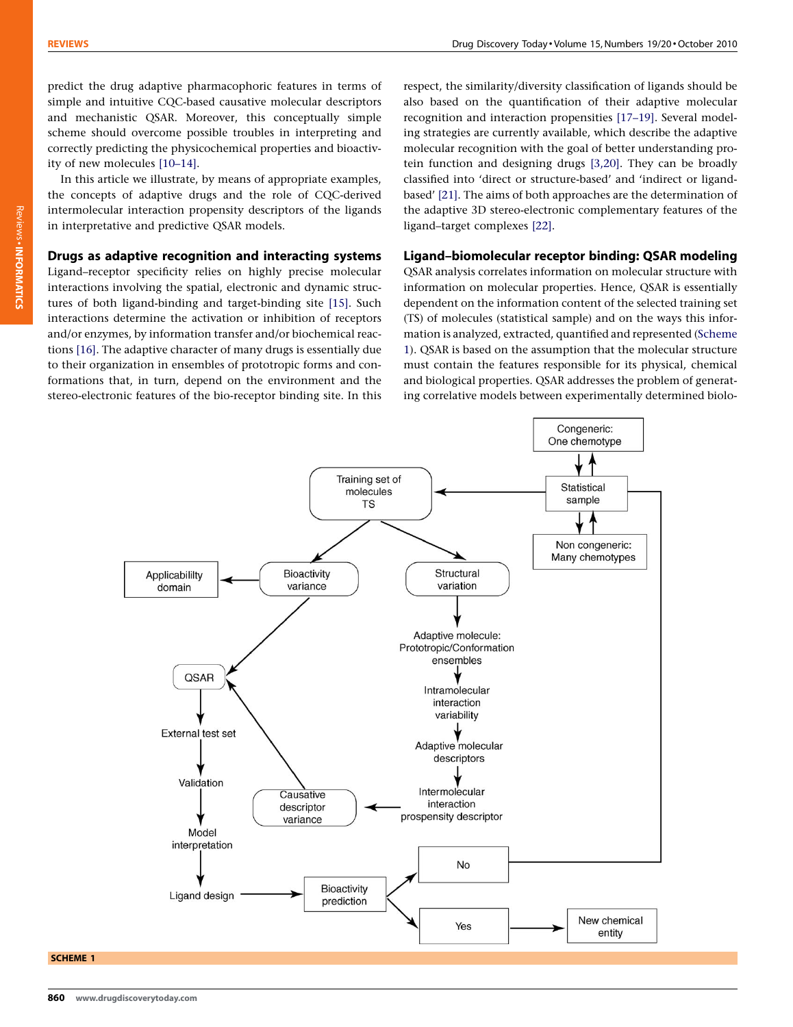<span id="page-1-0"></span>predict the drug adaptive pharmacophoric features in terms of simple and intuitive CQC-based causative molecular descriptors and mechanistic QSAR. Moreover, this conceptually simple scheme should overcome possible troubles in interpreting and correctly predicting the physicochemical properties and bioactivity of new molecules [\[10–14\].](#page-6-0)

In this article we illustrate, by means of appropriate examples, the concepts of adaptive drugs and the role of CQC-derived intermolecular interaction propensity descriptors of the ligands in interpretative and predictive QSAR models.

# Drugs as adaptive recognition and interacting systems

Ligand–receptor specificity relies on highly precise molecular interactions involving the spatial, electronic and dynamic structures of both ligand-binding and target-binding site [\[15\]](#page-6-0). Such interactions determine the activation or inhibition of receptors and/or enzymes, by information transfer and/or biochemical reactions [\[16\]](#page-6-0). The adaptive character of many drugs is essentially due to their organization in ensembles of prototropic forms and conformations that, in turn, depend on the environment and the stereo-electronic features of the bio-receptor binding site. In this

respect, the similarity/diversity classification of ligands should be also based on the quantification of their adaptive molecular recognition and interaction propensities [\[17–19\].](#page-6-0) Several modeling strategies are currently available, which describe the adaptive molecular recognition with the goal of better understanding protein function and designing drugs [\[3,20\].](#page-6-0) They can be broadly classified into 'direct or structure-based' and 'indirect or ligandbased' [\[21\].](#page-6-0) The aims of both approaches are the determination of the adaptive 3D stereo-electronic complementary features of the ligand–target complexes [\[22\]](#page-6-0).

#### Ligand–biomolecular receptor binding: QSAR modeling

QSAR analysis correlates information on molecular structure with information on molecular properties. Hence, QSAR is essentially dependent on the information content of the selected training set (TS) of molecules (statistical sample) and on the ways this information is analyzed, extracted, quantified and represented (Scheme 1). QSAR is based on the assumption that the molecular structure must contain the features responsible for its physical, chemical and biological properties. QSAR addresses the problem of generating correlative models between experimentally determined biolo-



SCHEME 1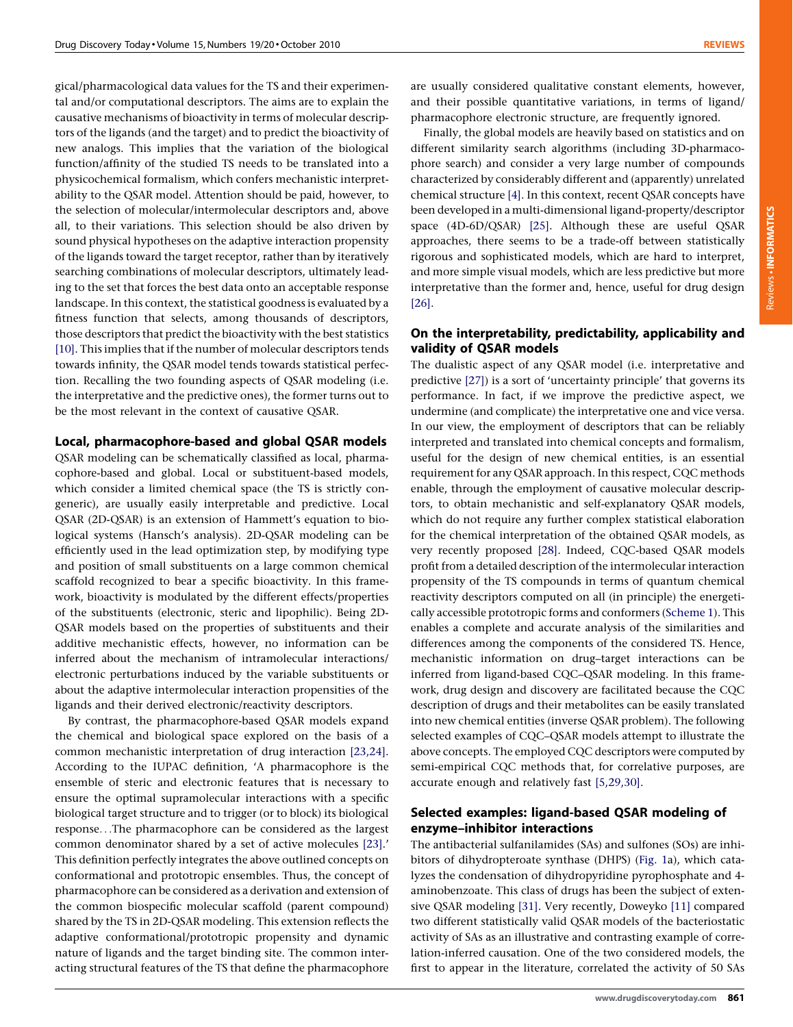gical/pharmacological data values for the TS and their experimental and/or computational descriptors. The aims are to explain the causative mechanisms of bioactivity in terms of molecular descriptors of the ligands (and the target) and to predict the bioactivity of new analogs. This implies that the variation of the biological function/affinity of the studied TS needs to be translated into a physicochemical formalism, which confers mechanistic interpretability to the QSAR model. Attention should be paid, however, to the selection of molecular/intermolecular descriptors and, above all, to their variations. This selection should be also driven by sound physical hypotheses on the adaptive interaction propensity of the ligands toward the target receptor, rather than by iteratively searching combinations of molecular descriptors, ultimately leading to the set that forces the best data onto an acceptable response landscape. In this context, the statistical goodness is evaluated by a fitness function that selects, among thousands of descriptors, those descriptors that predict the bioactivity with the best statistics [\[10\].](#page-6-0) This implies that if the number of molecular descriptors tends towards infinity, the QSAR model tends towards statistical perfection. Recalling the two founding aspects of QSAR modeling (i.e. the interpretative and the predictive ones), the former turns out to be the most relevant in the context of causative QSAR.

### Local, pharmacophore-based and global QSAR models

QSAR modeling can be schematically classified as local, pharmacophore-based and global. Local or substituent-based models, which consider a limited chemical space (the TS is strictly congeneric), are usually easily interpretable and predictive. Local QSAR (2D-QSAR) is an extension of Hammett's equation to biological systems (Hansch's analysis). 2D-QSAR modeling can be efficiently used in the lead optimization step, by modifying type and position of small substituents on a large common chemical scaffold recognized to bear a specific bioactivity. In this framework, bioactivity is modulated by the different effects/properties of the substituents (electronic, steric and lipophilic). Being 2D-QSAR models based on the properties of substituents and their additive mechanistic effects, however, no information can be inferred about the mechanism of intramolecular interactions/ electronic perturbations induced by the variable substituents or about the adaptive intermolecular interaction propensities of the ligands and their derived electronic/reactivity descriptors.

By contrast, the pharmacophore-based QSAR models expand the chemical and biological space explored on the basis of a common mechanistic interpretation of drug interaction [\[23,24\].](#page-6-0) According to the IUPAC definition, 'A pharmacophore is the ensemble of steric and electronic features that is necessary to ensure the optimal supramolecular interactions with a specific biological target structure and to trigger (or to block) its biological response...The pharmacophore can be considered as the largest common denominator shared by a set of active molecules [\[23\].](#page-6-0)' This definition perfectly integrates the above outlined concepts on conformational and prototropic ensembles. Thus, the concept of pharmacophore can be considered as a derivation and extension of the common biospecific molecular scaffold (parent compound) shared by the TS in 2D-QSAR modeling. This extension reflects the adaptive conformational/prototropic propensity and dynamic nature of ligands and the target binding site. The common interacting structural features of the TS that define the pharmacophore are usually considered qualitative constant elements, however, and their possible quantitative variations, in terms of ligand/ pharmacophore electronic structure, are frequently ignored.

Finally, the global models are heavily based on statistics and on different similarity search algorithms (including 3D-pharmacophore search) and consider a very large number of compounds characterized by considerably different and (apparently) unrelated chemical structure [\[4\].](#page-6-0) In this context, recent QSAR concepts have been developed in a multi-dimensional ligand-property/descriptor space (4D-6D/QSAR) [\[25\]](#page-6-0). Although these are useful QSAR approaches, there seems to be a trade-off between statistically rigorous and sophisticated models, which are hard to interpret, and more simple visual models, which are less predictive but more interpretative than the former and, hence, useful for drug design [\[26\].](#page-6-0)

# On the interpretability, predictability, applicability and validity of QSAR models

The dualistic aspect of any QSAR model (i.e. interpretative and predictive [\[27\]\)](#page-6-0) is a sort of 'uncertainty principle' that governs its performance. In fact, if we improve the predictive aspect, we undermine (and complicate) the interpretative one and vice versa. In our view, the employment of descriptors that can be reliably interpreted and translated into chemical concepts and formalism, useful for the design of new chemical entities, is an essential requirement for any QSAR approach. In this respect, CQC methods enable, through the employment of causative molecular descriptors, to obtain mechanistic and self-explanatory QSAR models, which do not require any further complex statistical elaboration for the chemical interpretation of the obtained QSAR models, as very recently proposed [\[28\].](#page-6-0) Indeed, CQC-based QSAR models profit from a detailed description of the intermolecular interaction propensity of the TS compounds in terms of quantum chemical reactivity descriptors computed on all (in principle) the energetically accessible prototropic forms and conformers ([Scheme 1](#page-1-0)). This enables a complete and accurate analysis of the similarities and differences among the components of the considered TS. Hence, mechanistic information on drug–target interactions can be inferred from ligand-based CQC–QSAR modeling. In this framework, drug design and discovery are facilitated because the CQC description of drugs and their metabolites can be easily translated into new chemical entities (inverse QSAR problem). The following selected examples of CQC–QSAR models attempt to illustrate the above concepts. The employed CQC descriptors were computed by semi-empirical CQC methods that, for correlative purposes, are accurate enough and relatively fast [\[5,29,30\].](#page-6-0)

#### Selected examples: ligand-based QSAR modeling of enzyme–inhibitor interactions

The antibacterial sulfanilamides (SAs) and sulfones (SOs) are inhibitors of dihydropteroate synthase (DHPS) ([Fig. 1a](#page-3-0)), which catalyzes the condensation of dihydropyridine pyrophosphate and 4 aminobenzoate. This class of drugs has been the subject of extensive QSAR modeling [\[31\].](#page-6-0) Very recently, Doweyko [\[11\]](#page-6-0) compared two different statistically valid QSAR models of the bacteriostatic activity of SAs as an illustrative and contrasting example of correlation-inferred causation. One of the two considered models, the first to appear in the literature, correlated the activity of 50 SAs

INFORMATICS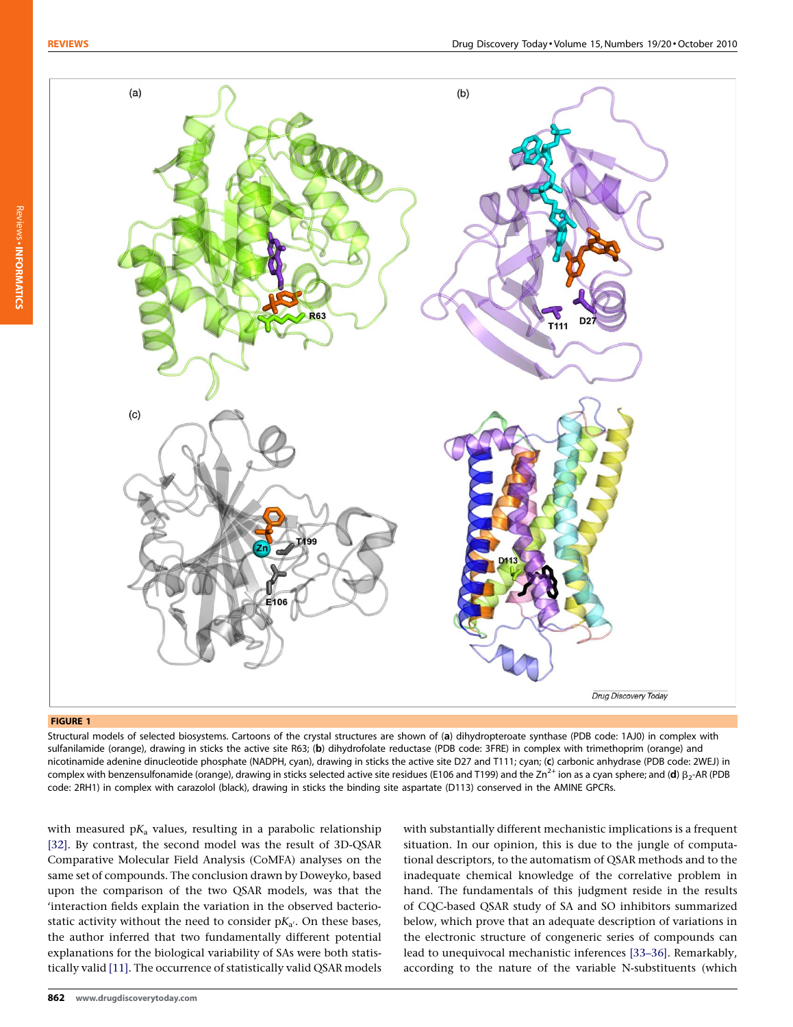<span id="page-3-0"></span>

#### FIGURE 1

Structural models of selected biosystems. Cartoons of the crystal structures are shown of (a) dihydropteroate synthase (PDB code: 1AJ0) in complex with sulfanilamide (orange), drawing in sticks the active site R63; (b) dihydrofolate reductase (PDB code: 3FRE) in complex with trimethoprim (orange) and nicotinamide adenine dinucleotide phosphate (NADPH, cyan), drawing in sticks the active site D27 and T111; cyan; (c) carbonic anhydrase (PDB code: 2WEJ) in complex with benzensulfonamide (orange), drawing in sticks selected active site residues (E106 and T199) and the Zn<sup>2+</sup> ion as a cyan sphere; and (d)  $\beta$ -AR (PDB code: 2RH1) in complex with carazolol (black), drawing in sticks the binding site aspartate (D113) conserved in the AMINE GPCRs.

with measured  $pK_a$  values, resulting in a parabolic relationship [\[32\]](#page-6-0). By contrast, the second model was the result of 3D-QSAR Comparative Molecular Field Analysis (CoMFA) analyses on the same set of compounds. The conclusion drawn by Doweyko, based upon the comparison of the two QSAR models, was that the 'interaction fields explain the variation in the observed bacteriostatic activity without the need to consider  $pK_{a'}$ . On these bases, the author inferred that two fundamentally different potential explanations for the biological variability of SAs were both statistically valid [\[11\]](#page-6-0). The occurrence of statistically valid QSAR models

with substantially different mechanistic implications is a frequent situation. In our opinion, this is due to the jungle of computational descriptors, to the automatism of QSAR methods and to the inadequate chemical knowledge of the correlative problem in hand. The fundamentals of this judgment reside in the results of CQC-based QSAR study of SA and SO inhibitors summarized below, which prove that an adequate description of variations in the electronic structure of congeneric series of compounds can lead to unequivocal mechanistic inferences [\[33–36\].](#page-6-0) Remarkably, according to the nature of the variable N-substituents (which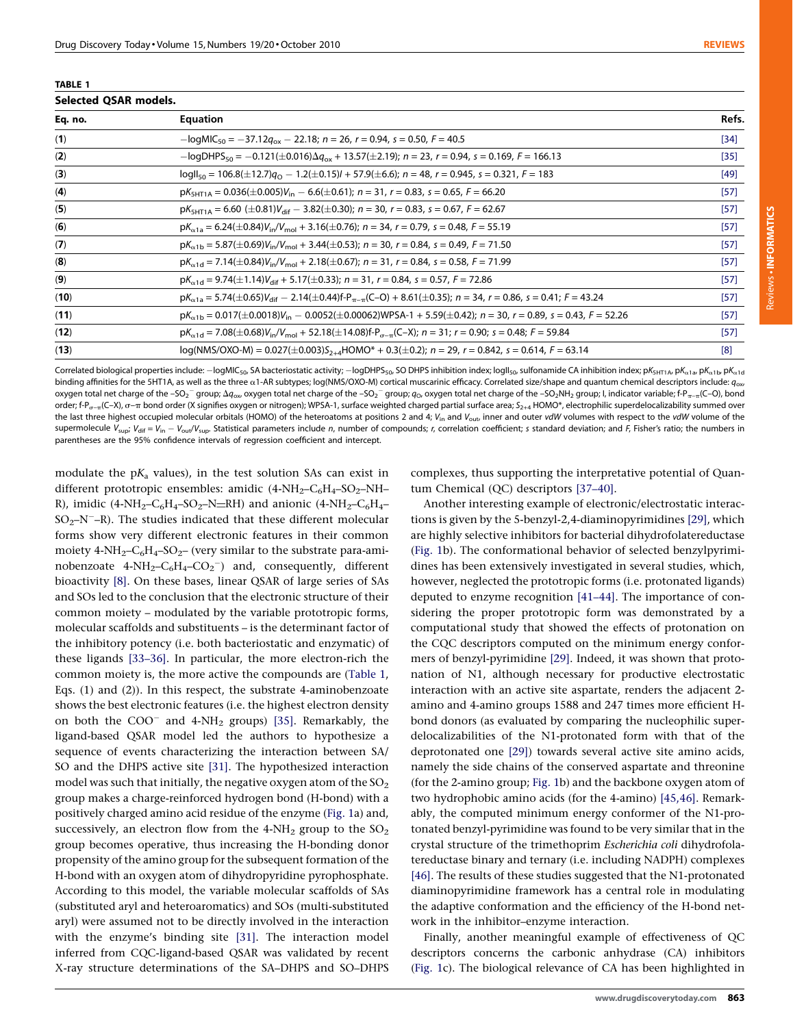<span id="page-4-0"></span>TABLE 1

Reviews -

Reviews . INFORMATICS INFORMATICS

| Selected QSAR models. |                                                                                                                                              |        |
|-----------------------|----------------------------------------------------------------------------------------------------------------------------------------------|--------|
| Eq. no.               | Equation                                                                                                                                     | Refs.  |
| (1)                   | $-$ logMIC <sub>50</sub> = $-37.12q_{ox}$ - 22.18; n = 26, r = 0.94, s = 0.50, F = 40.5                                                      | $[34]$ |
| (2)                   | $-\text{logDHPS}_{50} = -0.121(\pm 0.016)\Delta q_{\alpha x} + 13.57(\pm 2.19)$ ; n = 23, r = 0.94, s = 0.169, F = 166.13                    | $[35]$ |
| (3)                   | $log  _{50} = 106.8(\pm 12.7)q_{\odot} - 1.2(\pm 0.15)l + 57.9(\pm 6.6); n = 48, r = 0.945, s = 0.321, F = 183$                              | [49]   |
| (4)                   | $pK_{\text{SHT1A}} = 0.036(\pm 0.005)V_{\text{in}} - 6.6(\pm 0.61); n = 31, r = 0.83, s = 0.65, F = 66.20$                                   | $[57]$ |
| (5)                   | $pK_{\text{5+T1A}} = 6.60 \ (\pm 0.81) V_{\text{dif}} - 3.82 (\pm 0.30); n = 30, r = 0.83, s = 0.67, F = 62.67$                              | $[57]$ |
| (6)                   | $pK_{\alpha 1a} = 6.24(\pm 0.84)V_{\text{in}}/V_{\text{mol}} + 3.16(\pm 0.76)$ ; n = 34, r = 0.79, s = 0.48, F = 55.19                       | $[57]$ |
| (7)                   | $pK_{\alpha 1b} = 5.87(\pm 0.69)V_{in}/V_{mol} + 3.44(\pm 0.53); n = 30, r = 0.84, s = 0.49, F = 71.50$                                      | $[57]$ |
| (8)                   | $pK_{\alpha 1d} = 7.14(\pm 0.84)V_{\text{in}}/V_{\text{mol}} + 2.18(\pm 0.67); n = 31, r = 0.84, s = 0.58, F = 71.99$                        | $[57]$ |
| (9)                   | $pK_{\alpha 1d} = 9.74(\pm 1.14)V_{\text{dif}} + 5.17(\pm 0.33); n = 31, r = 0.84, s = 0.57, F = 72.86$                                      | $[57]$ |
| (10)                  | $pK_{\alpha 1a} = 5.74(\pm 0.65)V_{\text{dif}} - 2.14(\pm 0.44)f - P_{\pi-\pi}(C-O) + 8.61(\pm 0.35); n = 34, r = 0.86, s = 0.41; F = 43.24$ | $[57]$ |
| (11)                  | $pK_{\alpha 1b} = 0.017(\pm 0.0018)V_{\text{in}} - 0.0052(\pm 0.00062)$ WPSA-1 + 5.59( $\pm 0.42$ ); n = 30, r = 0.89, s = 0.43, F = 52.26   | $[57]$ |
| (12)                  | $pK_{\alpha 1d} = 7.08(\pm 0.68)V_{\alpha 1d} + 52.18(\pm 14.08)$ f-P <sub>o-T</sub> (C-X); n = 31; r = 0.90; s = 0.48; F = 59.84            | $[57]$ |
| (13)                  | $log(NMS/OXO-M) = 0.027(\pm 0.003)S_{2+4}$ HOMO* + 0.3( $\pm 0.2$ ); n = 29, r = 0.842, s = 0.614, F = 63.14                                 | [8]    |

Correlated biological properties include:  $-$ logMIC<sub>50</sub>, SA bacteriostatic activity;  $-$ logDHPS<sub>50</sub>, SO DHPS inhibition index; logIl<sub>50</sub>, sulfonamide CA inhibition index; pK<sub>5HT1A</sub>, pK<sub>a1a</sub>, pK<sub>a1a</sub>, pK<sub>a1a</sub>, pK<sub>a1a</sub>, pK<sub></sub> binding affinities for the 5HT1A, as well as the three  $\alpha$ 1-AR subtypes; log(NMS/OXO-M) cortical muscarinic efficacy. Correlated size/shape and quantum chemical descriptors include:  $q_{ox}$ oxygen total net charge of the –SO<sub>2</sub>  $\bar{g}$  group;  $\Delta q_{\rm ox}$  oxygen total net charge of the –SO<sub>2</sub>  $\bar{g}$  orygen total net charge of the –SO<sub>2</sub>NH<sub>2</sub> group; l, indicator variable; f-P $_{\pi-\pi}$ (C–O), bond order; f-P<sub>o- $\pi$ </sub>(C–X),  $\sigma$ - $\pi$  bond order (X signifies oxygen or nitrogen); WPSA-1, surface weighted charged partial surface area; S<sub>2+4</sub> HOMO\*, electrophilic superdelocalizability summed over the last three highest occupied molecular orbitals (HOMO) of the heteroatoms at positions 2 and 4;  $V_{\text{in}}$  and  $V_{\text{out}}$  inner and outer vdW volumes with respect to the vdW volume of the supermolecule V<sub>sup</sub>; V<sub>dif</sub> = V<sub>in</sub> - V<sub>out</sub>/V<sub>sup</sub>. Statistical parameters include n, number of compounds; r, correlation coefficient; s standard deviation; and F, Fisher's ratio; the numbers in parentheses are the 95% confidence intervals of regression coefficient and intercept.

modulate the  $pK_a$  values), in the test solution SAs can exist in different prototropic ensembles: amidic  $(4-NH_2-C_6H_4-SO_2-NH-$ R), imidic (4-NH<sub>2</sub>-C<sub>6</sub>H<sub>4</sub>-SO<sub>2</sub>-N=RH) and anionic (4-NH<sub>2</sub>-C<sub>6</sub>H<sub>4</sub>- $SO_2-N^-$ –R). The studies indicated that these different molecular forms show very different electronic features in their common moiety 4-NH<sub>2</sub>– $C_6H_4$ –SO<sub>2</sub>– (very similar to the substrate para-aminobenzoate  $4-NH_2-C_6H_4-CO_2^-$  and, consequently, different bioactivity [\[8\]](#page-6-0). On these bases, linear QSAR of large series of SAs and SOs led to the conclusion that the electronic structure of their common moiety – modulated by the variable prototropic forms, molecular scaffolds and substituents – is the determinant factor of the inhibitory potency (i.e. both bacteriostatic and enzymatic) of these ligands [\[33–36\]](#page-6-0). In particular, the more electron-rich the common moiety is, the more active the compounds are (Table 1, Eqs. (1) and (2)). In this respect, the substrate 4-aminobenzoate shows the best electronic features (i.e. the highest electron density on both the  $COO<sup>-</sup>$  and 4-NH<sub>2</sub> groups) [\[35\].](#page-6-0) Remarkably, the ligand-based QSAR model led the authors to hypothesize a sequence of events characterizing the interaction between SA/ SO and the DHPS active site [\[31\]](#page-6-0). The hypothesized interaction model was such that initially, the negative oxygen atom of the  $SO<sub>2</sub>$ group makes a charge-reinforced hydrogen bond (H-bond) with a positively charged amino acid residue of the enzyme ([Fig. 1a](#page-3-0)) and, successively, an electron flow from the  $4-NH_2$  group to the  $SO_2$ group becomes operative, thus increasing the H-bonding donor propensity of the amino group for the subsequent formation of the H-bond with an oxygen atom of dihydropyridine pyrophosphate. According to this model, the variable molecular scaffolds of SAs (substituted aryl and heteroaromatics) and SOs (multi-substituted aryl) were assumed not to be directly involved in the interaction with the enzyme's binding site [\[31\].](#page-6-0) The interaction model inferred from CQC-ligand-based QSAR was validated by recent X-ray structure determinations of the SA–DHPS and SO–DHPS complexes, thus supporting the interpretative potential of Quantum Chemical (QC) descriptors [\[37–40\]](#page-7-0).

Another interesting example of electronic/electrostatic interactions is given by the 5-benzyl-2,4-diaminopyrimidines [\[29\]](#page-6-0), which are highly selective inhibitors for bacterial dihydrofolatereductase [\(Fig. 1](#page-3-0)b). The conformational behavior of selected benzylpyrimidines has been extensively investigated in several studies, which, however, neglected the prototropic forms (i.e. protonated ligands) deputed to enzyme recognition [\[41–44\]](#page-7-0). The importance of considering the proper prototropic form was demonstrated by a computational study that showed the effects of protonation on the CQC descriptors computed on the minimum energy conformers of benzyl-pyrimidine [\[29\]](#page-6-0). Indeed, it was shown that protonation of N1, although necessary for productive electrostatic interaction with an active site aspartate, renders the adjacent 2 amino and 4-amino groups 1588 and 247 times more efficient Hbond donors (as evaluated by comparing the nucleophilic superdelocalizabilities of the N1-protonated form with that of the deprotonated one [\[29\]](#page-6-0)) towards several active site amino acids, namely the side chains of the conserved aspartate and threonine (for the 2-amino group; [Fig. 1](#page-3-0)b) and the backbone oxygen atom of two hydrophobic amino acids (for the 4-amino) [\[45,46\].](#page-7-0) Remarkably, the computed minimum energy conformer of the N1-protonated benzyl-pyrimidine was found to be very similar that in the crystal structure of the trimethoprim Escherichia coli dihydrofolatereductase binary and ternary (i.e. including NADPH) complexes [\[46\].](#page-7-0) The results of these studies suggested that the N1-protonated diaminopyrimidine framework has a central role in modulating the adaptive conformation and the efficiency of the H-bond network in the inhibitor–enzyme interaction.

Finally, another meaningful example of effectiveness of QC descriptors concerns the carbonic anhydrase (CA) inhibitors [\(Fig. 1](#page-3-0)c). The biological relevance of CA has been highlighted in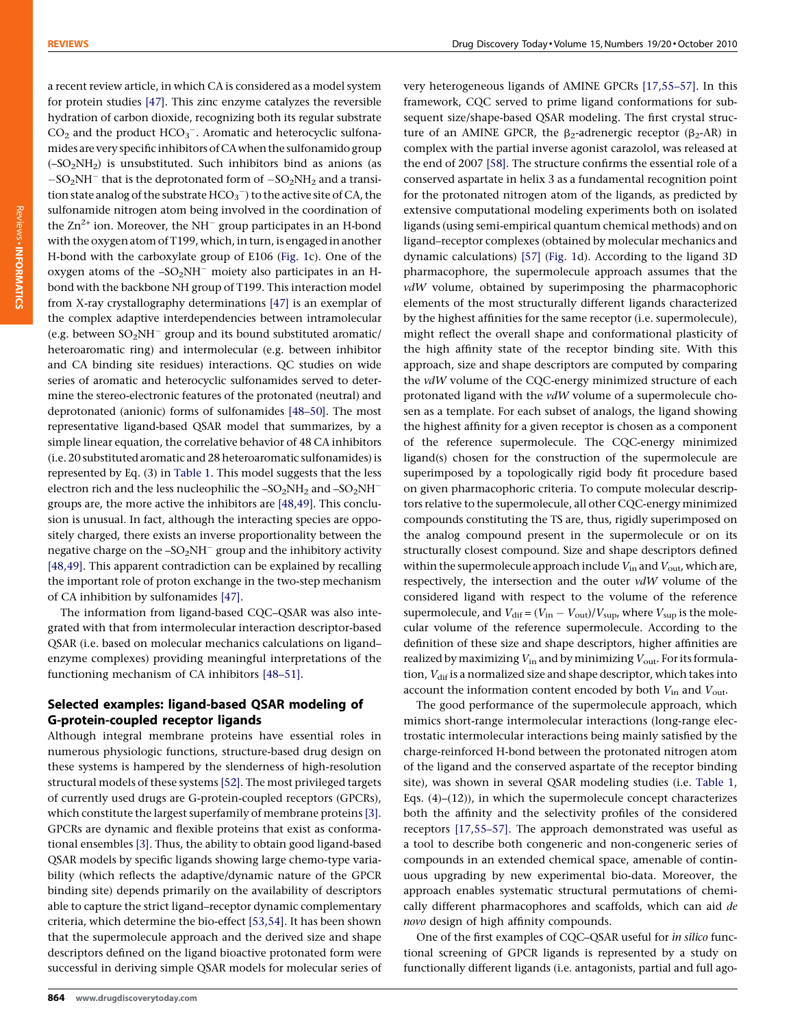a recent review article, in which CA is considered as a model system for protein studies [\[47\]](#page-7-0). This zinc enzyme catalyzes the reversible hydration of carbon dioxide, recognizing both its regular substrate  $CO<sub>2</sub>$  and the product  $HCO<sub>3</sub><sup>-</sup>$ . Aromatic and heterocyclic sulfonamides are very specific inhibitors of CA when the sulfonamido group  $(-SO<sub>2</sub>NH<sub>2</sub>)$  is unsubstituted. Such inhibitors bind as anions (as  $-SO<sub>2</sub>NH<sup>-</sup>$  that is the deprotonated form of  $-SO<sub>2</sub>NH<sub>2</sub>$  and a transition state analog of the substrate  $\mathrm{HCO_3}^-$ ) to the active site of CA, the sulfonamide nitrogen atom being involved in the coordination of the  $Zn^{2+}$  ion. Moreover, the NH<sup>-</sup> group participates in an H-bond with the oxygen atom of T199, which, in turn, is engaged in another H-bond with the carboxylate group of E106 [\(Fig. 1c](#page-3-0)). One of the oxygen atoms of the  $-SO_2NH^-$  moiety also participates in an Hbond with the backbone NH group of T199. This interaction model from X-ray crystallography determinations [\[47\]](#page-7-0) is an exemplar of the complex adaptive interdependencies between intramolecular (e.g. between  $SO_2NH^-$  group and its bound substituted aromatic/ heteroaromatic ring) and intermolecular (e.g. between inhibitor and CA binding site residues) interactions. QC studies on wide series of aromatic and heterocyclic sulfonamides served to determine the stereo-electronic features of the protonated (neutral) and deprotonated (anionic) forms of sulfonamides [\[48–50\].](#page-7-0) The most representative ligand-based QSAR model that summarizes, by a simple linear equation, the correlative behavior of 48 CA inhibitors (i.e. 20 substituted aromatic and 28 heteroaromatic sulfonamides) is represented by Eq. (3) in [Table 1.](#page-4-0) This model suggests that the less electron rich and the less nucleophilic the  $-SO_2NH_2$  and  $-SO_2NH^$ groups are, the more active the inhibitors are [\[48,49\].](#page-7-0) This conclusion is unusual. In fact, although the interacting species are oppositely charged, there exists an inverse proportionality between the negative charge on the  $-SO_2NH^-$  group and the inhibitory activity [\[48,49\].](#page-7-0) This apparent contradiction can be explained by recalling the important role of proton exchange in the two-step mechanism of CA inhibition by sulfonamides [\[47\].](#page-7-0)

The information from ligand-based CQC–QSAR was also integrated with that from intermolecular interaction descriptor-based QSAR (i.e. based on molecular mechanics calculations on ligand– enzyme complexes) providing meaningful interpretations of the functioning mechanism of CA inhibitors [\[48–51\]](#page-7-0).

#### Selected examples: ligand-based QSAR modeling of G-protein-coupled receptor ligands

Although integral membrane proteins have essential roles in numerous physiologic functions, structure-based drug design on these systems is hampered by the slenderness of high-resolution structural models of these systems [\[52\].](#page-7-0) The most privileged targets of currently used drugs are G-protein-coupled receptors (GPCRs), which constitute the largest superfamily of membrane proteins [\[3\]](#page-6-0). GPCRs are dynamic and flexible proteins that exist as conformational ensembles [\[3\]](#page-6-0). Thus, the ability to obtain good ligand-based QSAR models by specific ligands showing large chemo-type variability (which reflects the adaptive/dynamic nature of the GPCR binding site) depends primarily on the availability of descriptors able to capture the strict ligand–receptor dynamic complementary criteria, which determine the bio-effect [\[53,54\].](#page-7-0) It has been shown that the supermolecule approach and the derived size and shape descriptors defined on the ligand bioactive protonated form were successful in deriving simple QSAR models for molecular series of

very heterogeneous ligands of AMINE GPCRs [\[17,55–57\].](#page-6-0) In this framework, CQC served to prime ligand conformations for subsequent size/shape-based QSAR modeling. The first crystal structure of an AMINE GPCR, the  $\beta_2$ -adrenergic receptor ( $\beta_2$ -AR) in complex with the partial inverse agonist carazolol, was released at the end of 2007 [\[58\]](#page-7-0). The structure confirms the essential role of a conserved aspartate in helix 3 as a fundamental recognition point for the protonated nitrogen atom of the ligands, as predicted by extensive computational modeling experiments both on isolated ligands (using semi-empirical quantum chemical methods) and on ligand–receptor complexes (obtained by molecular mechanics and dynamic calculations) [\[57\]](#page-7-0) [\(Fig. 1](#page-3-0)d). According to the ligand 3D pharmacophore, the supermolecule approach assumes that the vdW volume, obtained by superimposing the pharmacophoric elements of the most structurally different ligands characterized by the highest affinities for the same receptor (i.e. supermolecule), might reflect the overall shape and conformational plasticity of the high affinity state of the receptor binding site. With this approach, size and shape descriptors are computed by comparing the vdW volume of the CQC-energy minimized structure of each protonated ligand with the vdW volume of a supermolecule chosen as a template. For each subset of analogs, the ligand showing the highest affinity for a given receptor is chosen as a component of the reference supermolecule. The CQC-energy minimized ligand(s) chosen for the construction of the supermolecule are superimposed by a topologically rigid body fit procedure based on given pharmacophoric criteria. To compute molecular descriptors relative to the supermolecule, all other CQC-energy minimized compounds constituting the TS are, thus, rigidly superimposed on the analog compound present in the supermolecule or on its structurally closest compound. Size and shape descriptors defined within the supermolecule approach include  $V_{\text{in}}$  and  $V_{\text{out}}$ , which are, respectively, the intersection and the outer vdW volume of the considered ligand with respect to the volume of the reference supermolecule, and  $V_{\text{dif}} = (V_{\text{in}} - V_{\text{out}})/V_{\text{sup}}$ , where  $V_{\text{sup}}$  is the molecular volume of the reference supermolecule. According to the definition of these size and shape descriptors, higher affinities are realized by maximizing  $V_{\text{in}}$  and by minimizing  $V_{\text{out}}$ . For its formulation,  $V_{\text{dif}}$  is a normalized size and shape descriptor, which takes into account the information content encoded by both  $V_{\text{in}}$  and  $V_{\text{out}}$ .

The good performance of the supermolecule approach, which mimics short-range intermolecular interactions (long-range electrostatic intermolecular interactions being mainly satisfied by the charge-reinforced H-bond between the protonated nitrogen atom of the ligand and the conserved aspartate of the receptor binding site), was shown in several QSAR modeling studies (i.e. [Table 1](#page-4-0), Eqs.  $(4)-(12)$ ), in which the supermolecule concept characterizes both the affinity and the selectivity profiles of the considered receptors [\[17,55–57\].](#page-6-0) The approach demonstrated was useful as a tool to describe both congeneric and non-congeneric series of compounds in an extended chemical space, amenable of continuous upgrading by new experimental bio-data. Moreover, the approach enables systematic structural permutations of chemically different pharmacophores and scaffolds, which can aid de novo design of high affinity compounds.

One of the first examples of CQC–QSAR useful for in silico functional screening of GPCR ligands is represented by a study on functionally different ligands (i.e. antagonists, partial and full ago-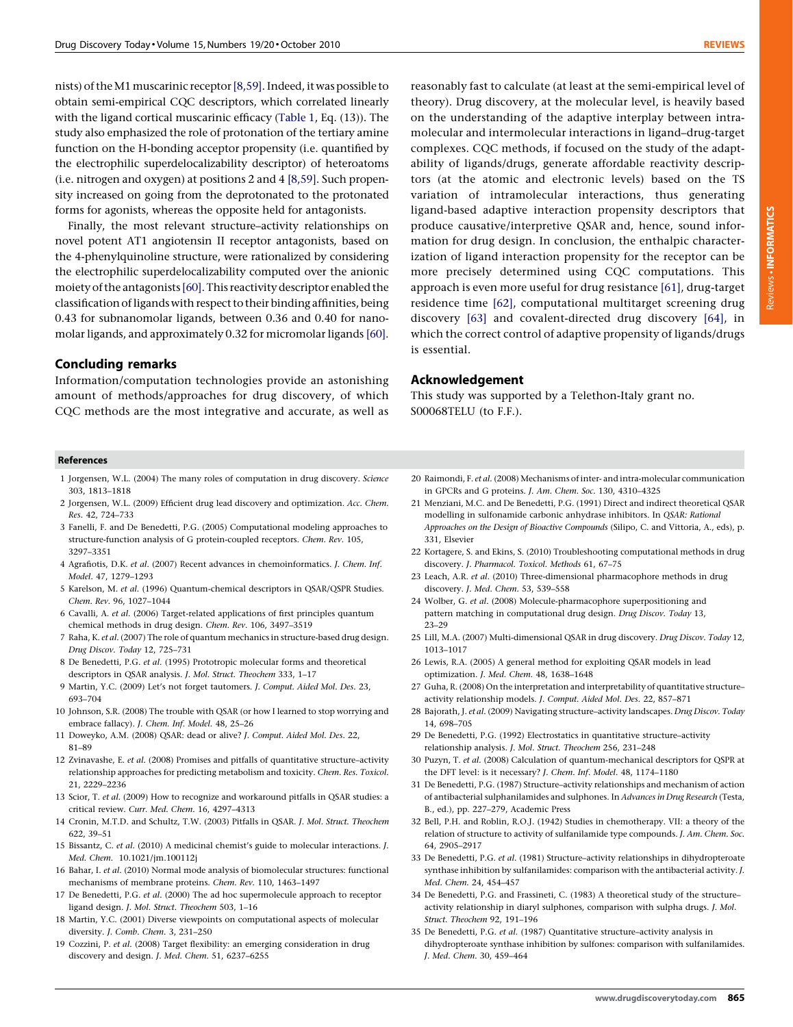<span id="page-6-0"></span>nists) of the M1 muscarinic receptor[8,59]. Indeed, it was possibleto obtain semi-empirical CQC descriptors, which correlated linearly with the ligand cortical muscarinic efficacy [\(Table 1](#page-4-0), Eq. (13)). The study also emphasized the role of protonation of the tertiary amine function on the H-bonding acceptor propensity (i.e. quantified by the electrophilic superdelocalizability descriptor) of heteroatoms (i.e. nitrogen and oxygen) at positions 2 and 4 [8,59]. Such propensity increased on going from the deprotonated to the protonated forms for agonists, whereas the opposite held for antagonists.

Finally, the most relevant structure–activity relationships on novel potent AT1 angiotensin II receptor antagonists, based on the 4-phenylquinoline structure, were rationalized by considering the electrophilic superdelocalizability computed over the anionic moiety of the antagonists [\[60\].](#page-7-0) This reactivity descriptor enabledthe classification of ligands with respect totheir binding affinities, being 0.43 for subnanomolar ligands, between 0.36 and 0.40 for nanomolar ligands, and approximately 0.32 for micromolar ligands [\[60\].](#page-7-0)

#### Concluding remarks

Information/computation technologies provide an astonishing amount of methods/approaches for drug discovery, of which CQC methods are the most integrative and accurate, as well as

reasonably fast to calculate (at least at the semi-empirical level of theory). Drug discovery, at the molecular level, is heavily based on the understanding of the adaptive interplay between intramolecular and intermolecular interactions in ligand–drug-target complexes. CQC methods, if focused on the study of the adaptability of ligands/drugs, generate affordable reactivity descriptors (at the atomic and electronic levels) based on the TS variation of intramolecular interactions, thus generating ligand-based adaptive interaction propensity descriptors that produce causative/interpretive QSAR and, hence, sound information for drug design. In conclusion, the enthalpic characterization of ligand interaction propensity for the receptor can be more precisely determined using CQC computations. This approach is even more useful for drug resistance [\[61\]](#page-7-0), drug-target residence time [\[62\],](#page-7-0) computational multitarget screening drug discovery [\[63\]](#page-7-0) and covalent-directed drug discovery [\[64\],](#page-7-0) in which the correct control of adaptive propensity of ligands/drugs is essential.

#### Acknowledgement

This study was supported by a Telethon-Italy grant no. S00068TELU (to F.F.).

#### References

- 1 Jorgensen, W.L. (2004) The many roles of computation in drug discovery. Science 303, 1813–1818
- 2 Jorgensen, W.L. (2009) Efficient drug lead discovery and optimization. Acc. Chem. Res. 42, 724–733
- 3 Fanelli, F. and De Benedetti, P.G. (2005) Computational modeling approaches to structure-function analysis of G protein-coupled receptors. Chem. Rev. 105, 3297–3351
- 4 Agrafiotis, D.K. et al. (2007) Recent advances in chemoinformatics. J. Chem. Inf. Model. 47, 1279–1293
- 5 Karelson, M. et al. (1996) Quantum-chemical descriptors in QSAR/QSPR Studies. Chem. Rev. 96, 1027–1044
- 6 Cavalli, A. et al. (2006) Target-related applications of first principles quantum chemical methods in drug design. Chem. Rev. 106, 3497–3519
- 7 Raha, K. et al. (2007) The role of quantum mechanics in structure-based drug design. Drug Discov. Today 12, 725–731
- 8 De Benedetti, P.G. et al. (1995) Prototropic molecular forms and theoretical descriptors in QSAR analysis. J. Mol. Struct. Theochem 333, 1–17
- 9 Martin, Y.C. (2009) Let's not forget tautomers. J. Comput. Aided Mol. Des. 23, 693–704
- 10 Johnson, S.R. (2008) The trouble with QSAR (or how I learned to stop worrying and embrace fallacy). J. Chem. Inf. Model. 48, 25–26
- 11 Doweyko, A.M. (2008) QSAR: dead or alive? J. Comput. Aided Mol. Des. 22, 81–89
- 12 Zvinavashe, E. et al. (2008) Promises and pitfalls of quantitative structure–activity relationship approaches for predicting metabolism and toxicity. Chem. Res. Toxicol. 21, 2229–2236
- 13 Scior, T. et al. (2009) How to recognize and workaround pitfalls in QSAR studies: a critical review. Curr. Med. Chem. 16, 4297–4313
- 14 Cronin, M.T.D. and Schultz, T.W. (2003) Pitfalls in QSAR. J. Mol. Struct. Theochem 622, 39–51
- 15 Bissantz, C. et al. (2010) A medicinal chemist's guide to molecular interactions. J. Med. Chem. 10.1021/jm.100112j
- 16 Bahar, I. et al. (2010) Normal mode analysis of biomolecular structures: functional mechanisms of membrane proteins. Chem. Rev. 110, 1463–1497
- 17 De Benedetti, P.G. et al. (2000) The ad hoc supermolecule approach to receptor ligand design. J. Mol. Struct. Theochem 503, 1–16
- 18 Martin, Y.C. (2001) Diverse viewpoints on computational aspects of molecular diversity. J. Comb. Chem. 3, 231–250
- 19 Cozzini, P. et al. (2008) Target flexibility: an emerging consideration in drug discovery and design. J. Med. Chem. 51, 6237–6255
- 20 Raimondi, F. et al. (2008) Mechanisms of inter- and intra-molecular communication in GPCRs and G proteins. J. Am. Chem. Soc. 130, 4310–4325
- 21 Menziani, M.C. and De Benedetti, P.G. (1991) Direct and indirect theoretical QSAR modelling in sulfonamide carbonic anhydrase inhibitors. In QSAR: Rational Approaches on the Design of Bioactive Compounds (Silipo, C. and Vittoria, A., eds), p. 331, Elsevier
- 22 Kortagere, S. and Ekins, S. (2010) Troubleshooting computational methods in drug discovery. J. Pharmacol. Toxicol. Methods 61, 67–75
- 23 Leach, A.R. et al. (2010) Three-dimensional pharmacophore methods in drug discovery. J. Med. Chem. 53, 539–558
- 24 Wolber, G. et al. (2008) Molecule-pharmacophore superpositioning and pattern matching in computational drug design. Drug Discov. Today 13, 23–29
- 25 Lill, M.A. (2007) Multi-dimensional QSAR in drug discovery. Drug Discov. Today 12, 1013–1017
- 26 Lewis, R.A. (2005) A general method for exploiting QSAR models in lead optimization. J. Med. Chem. 48, 1638–1648
- 27 Guha, R. (2008) On the interpretation and interpretability of quantitative structure– activity relationship models. J. Comput. Aided Mol. Des. 22, 857–871
- 28 Bajorath, J. et al. (2009) Navigating structure-activity landscapes. Drug Discov. Today 14, 698–705
- 29 De Benedetti, P.G. (1992) Electrostatics in quantitative structure–activity relationship analysis. J. Mol. Struct. Theochem 256, 231–248
- 30 Puzyn, T. et al. (2008) Calculation of quantum-mechanical descriptors for QSPR at the DFT level: is it necessary? J. Chem. Inf. Model. 48, 1174–1180
- 31 De Benedetti, P.G. (1987) Structure–activity relationships and mechanism of action of antibacterial sulphanilamides and sulphones. In Advances in Drug Research (Testa, B., ed.), pp. 227–279, Academic Press
- 32 Bell, P.H. and Roblin, R.O.J. (1942) Studies in chemotherapy. VII: a theory of the relation of structure to activity of sulfanilamide type compounds. J. Am. Chem. Soc. 64, 2905–2917
- 33 De Benedetti, P.G. et al. (1981) Structure–activity relationships in dihydropteroate synthase inhibition by sulfanilamides: comparison with the antibacterial activity. J. Med. Chem. 24, 454–457
- 34 De Benedetti, P.G. and Frassineti, C. (1983) A theoretical study of the structure– activity relationship in diaryl sulphones, comparison with sulpha drugs. J. Mol. Struct. Theochem 92, 191–196
- 35 De Benedetti, P.G. et al. (1987) Quantitative structure–activity analysis in dihydropteroate synthase inhibition by sulfones: comparison with sulfanilamides. J. Med. Chem. 30, 459–464